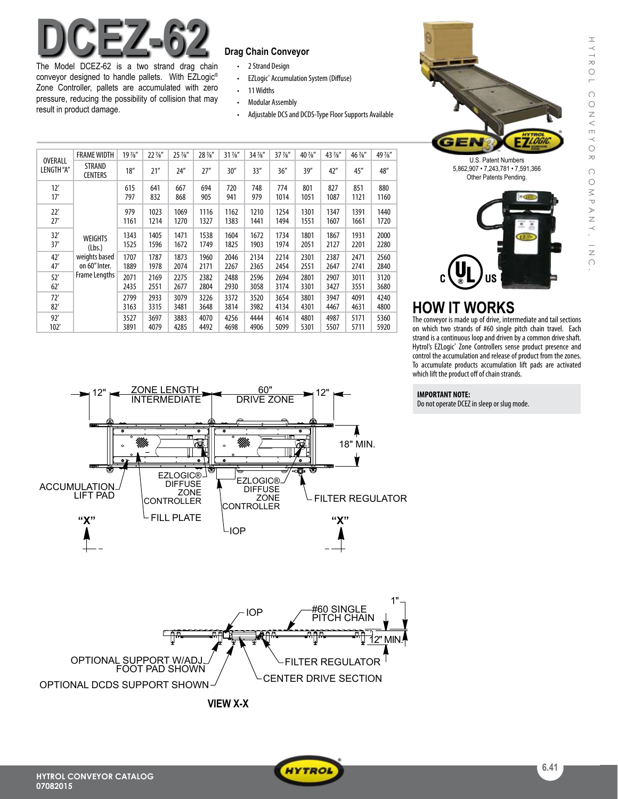# **DCEZ-62 Drag Chain Conveyor**

The Model DCEZ-62 is a two strand drag chain conveyor designed to handle pallets. With EZLogic® Zone Controller, pallets are accumulated with zero pressure, reducing the possibility of collision that may result in product damage.

- 2 Strand Design
- • EZLogic® Accumulation System (Diffuse)
- • 11Widths
- • Modular Assembly
- Adjustable DCS and DCDS-Type Floor Supports Available

| OVERALL<br>LENGTH"A" | <b>FRAME WIDTH</b>                                                          | $19\frac{7}{8}$ " | 22 //s"      | 25 %"        | 28 %"        | $31\frac{7}{8}$ " | 34 %"        | $37\frac{7}{8}$ " | 40 %"        | 43 //s"      | 46 %"        | 49 %"        |
|----------------------|-----------------------------------------------------------------------------|-------------------|--------------|--------------|--------------|-------------------|--------------|-------------------|--------------|--------------|--------------|--------------|
|                      | <b>STRAND</b><br><b>CENTERS</b>                                             | 18''              | 21''         | 24''         | 27''         | 30''              | 33''         | 36''              | 39''         | 42"          | 45''         | 48"          |
| 12'<br>17'           | <b>WEIGHTS</b><br>(Lbs.)<br>weights based<br>on 60" Inter.<br>Frame Lengths | 615<br>797        | 641<br>832   | 667<br>868   | 694<br>905   | 720<br>941        | 748<br>979   | 774<br>1014       | 801<br>1051  | 827<br>1087  | 851<br>1121  | 880<br>1160  |
| 22'<br>27'           |                                                                             | 979<br>1161       | 1023<br>1214 | 1069<br>1270 | 1116<br>1327 | 1162<br>1383      | 1210<br>1441 | 1254<br>1494      | 1301<br>1551 | 1347<br>1607 | 1391<br>1661 | 1440<br>1720 |
| 32'<br>37'           |                                                                             | 1343<br>1525      | 1405<br>1596 | 1471<br>1672 | 1538<br>1749 | 1604<br>1825      | 1672<br>1903 | 1734<br>1974      | 1801<br>2051 | 1867<br>2127 | 1931<br>2201 | 2000<br>2280 |
| 42'<br>47'           |                                                                             | 1707<br>1889      | 1787<br>1978 | 1873<br>2074 | 1960<br>2171 | 2046<br>2267      | 2134<br>2365 | 2214<br>2454      | 2301<br>2551 | 2387<br>2647 | 2471<br>2741 | 2560<br>2840 |
| 52'<br>62'           |                                                                             | 2071<br>2435      | 2169<br>2551 | 2275<br>2677 | 2382<br>2804 | 2488<br>2930      | 2596<br>3058 | 2694<br>3174      | 2801<br>3301 | 2907<br>3427 | 3011<br>3551 | 3120<br>3680 |
| 72'<br>82'           |                                                                             | 2799<br>3163      | 2933<br>3315 | 3079<br>3481 | 3226<br>3648 | 3372<br>3814      | 3520<br>3982 | 3654<br>4134      | 3801<br>4301 | 3947<br>4467 | 4091<br>4631 | 4240<br>4800 |
| 92'<br>102'          |                                                                             | 3527<br>3891      | 3697<br>4079 | 3883<br>4285 | 4070<br>4492 | 4256<br>4698      | 4444<br>4906 | 4614<br>5099      | 4801<br>5301 | 4987<br>5507 | 5171<br>5711 | 5360<br>5920 |





HYTROL CONVEYOR COMPANY, INC.

COMPANY, INC

CONVEYOR

HYTROL

## **HOW IT WORKS**

The conveyor is made up of drive, intermediate and tail sections on which two strands of #60 single pitch chain travel. Each strand is a continuous loop and driven by a common drive shaft. Hytrol's EZLogic<sup>®</sup> Zone Controllers sense product presence and control the accumulation and release of product from the zones. To accumulate products accumulation lift pads are activated which lift the product off of chain strands.

### **IMPORTANT NOTE:**

Do not operate DCEZ in sleep or slug mode.